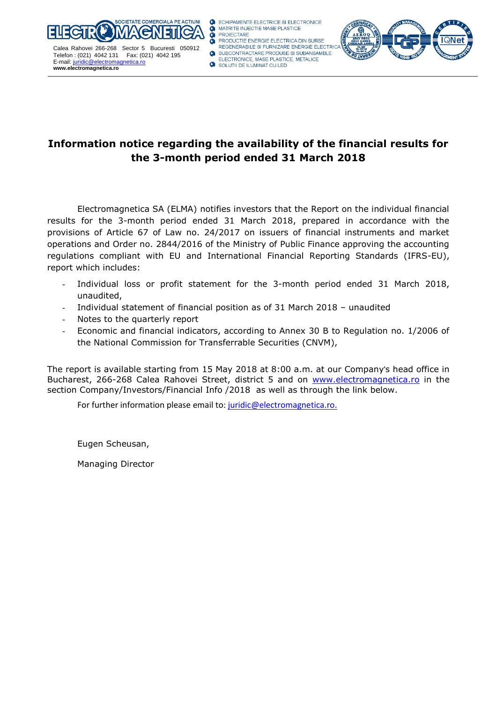

ECHIPAMENTE ELECTRICE SI ELECTRONICE MATRITE INJECTIE MASE PLASTICE **PROJECTARE** PRODUCTIE ENERGIE ELECTRICA DIN SURSE REGENERABILE SI FURNIZARE ENERGIE ELECTRIC SUBCONTRACTARE PRODUSE SI SUBANSAMBLE

# **Information notice regarding the availability of the financial results for the 3-month period ended 31 March 2018**

Electromagnetica SA (ELMA) notifies investors that the Report on the individual financial results for the 3-month period ended 31 March 2018, prepared in accordance with the provisions of Article 67 of Law no. 24/2017 on issuers of financial instruments and market operations and Order no. 2844/2016 of the Ministry of Public Finance approving the accounting regulations compliant with EU and International Financial Reporting Standards (IFRS-EU), report which includes:

- Individual loss or profit statement for the 3-month period ended 31 March 2018, unaudited,
- Individual statement of financial position as of 31 March 2018 unaudited
- Notes to the quarterly report
- Economic and financial indicators, according to Annex 30 B to Regulation no. 1/2006 of the National Commission for Transferrable Securities (CNVM),

The report is available starting from 15 May 2018 at 8:00 a.m. at our Company's head office in Bucharest, 266-268 Calea Rahovei Street, district 5 and on [www.electromagnetica.ro](http://www.electromagnetica.ro/) in the section Company/Investors/Financial Info /2018 as well as through the link below.

For further information please email to: [juridic@electromagnetica.ro.](mailto:juridic@electromagnetica.ro)

Eugen Scheusan,

Managing Director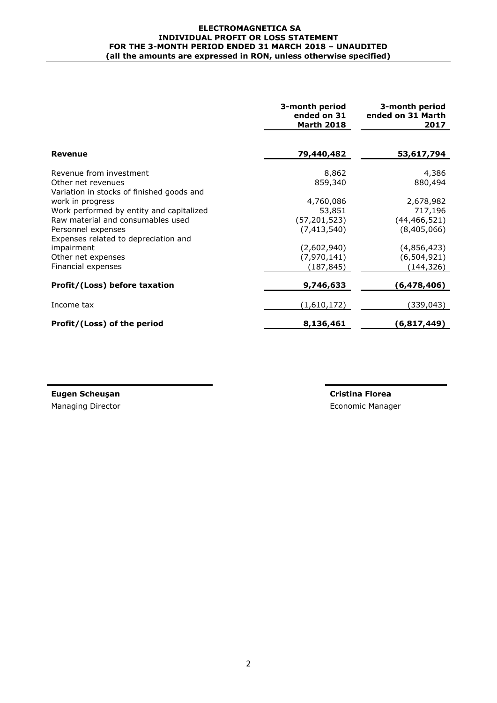#### **ELECTROMAGNETICA SA INDIVIDUAL PROFIT OR LOSS STATEMENT FOR THE 3-MONTH PERIOD ENDED 31 MARCH 2018 – UNAUDITED (all the amounts are expressed in RON, unless otherwise specified)**

|                                                                                                           | 3-month period<br>ended on 31<br><b>Marth 2018</b> | 3-month period<br>ended on 31 Marth<br>2017 |
|-----------------------------------------------------------------------------------------------------------|----------------------------------------------------|---------------------------------------------|
| <b>Revenue</b>                                                                                            | 79,440,482                                         | 53,617,794                                  |
| Revenue from investment<br>Other net revenues                                                             | 8,862<br>859,340                                   | 4,386<br>880,494                            |
| Variation in stocks of finished goods and<br>work in progress<br>Work performed by entity and capitalized | 4,760,086<br>53,851                                | 2,678,982<br>717,196                        |
| Raw material and consumables used<br>Personnel expenses                                                   | (57, 201, 523)<br>(7, 413, 540)                    | (44, 466, 521)<br>(8,405,066)               |
| Expenses related to depreciation and<br>impairment                                                        | (2,602,940)                                        | (4,856,423)                                 |
| Other net expenses<br>Financial expenses                                                                  | (7,970,141)<br>(187, 845)                          | (6, 504, 921)<br>(144,326)                  |
| Profit/(Loss) before taxation                                                                             | 9,746,633                                          | (6, 478, 406)                               |
| Income tax                                                                                                | (1,610,172)                                        | (339, 043)                                  |
| Profit/(Loss) of the period                                                                               | 8,136,461                                          | (6,817,449)                                 |

**Eugen Scheuşan Cristina Florea** Managing Director **Managing Director Economic Manager** Economic Manager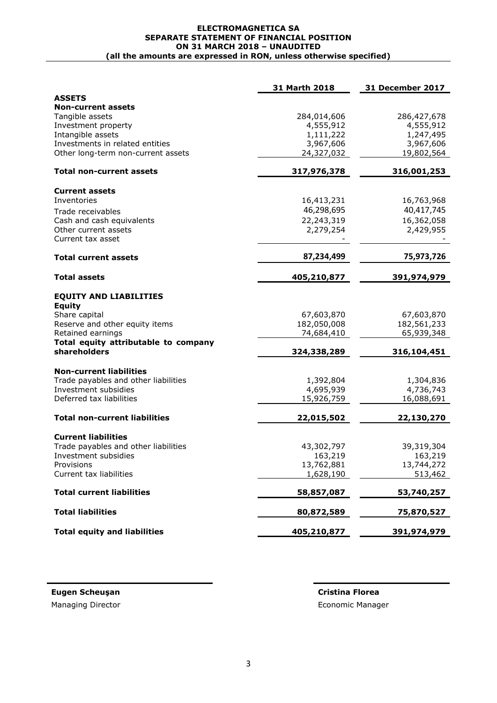#### **ELECTROMAGNETICA SA SEPARATE STATEMENT OF FINANCIAL POSITION ON 31 MARCH 2018 – UNAUDITED (all the amounts are expressed in RON, unless otherwise specified)**

|                                                      | 31 Marth 2018          | <b>31 December 2017</b> |
|------------------------------------------------------|------------------------|-------------------------|
| <b>ASSETS</b>                                        |                        |                         |
| <b>Non-current assets</b>                            |                        |                         |
| Tangible assets                                      | 284,014,606            | 286,427,678             |
| Investment property<br>Intangible assets             | 4,555,912<br>1,111,222 | 4,555,912<br>1,247,495  |
| Investments in related entities                      | 3,967,606              | 3,967,606               |
| Other long-term non-current assets                   | 24,327,032             | 19,802,564              |
|                                                      |                        |                         |
| <b>Total non-current assets</b>                      | 317,976,378            | 316,001,253             |
| <b>Current assets</b>                                |                        |                         |
| Inventories                                          | 16,413,231             | 16,763,968              |
| Trade receivables                                    | 46,298,695             | 40,417,745              |
| Cash and cash equivalents                            | 22,243,319             | 16,362,058              |
| Other current assets<br>Current tax asset            | 2,279,254              | 2,429,955               |
| <b>Total current assets</b>                          | 87,234,499             | 75,973,726              |
| <b>Total assets</b>                                  | 405,210,877            | 391,974,979             |
| <b>EQUITY AND LIABILITIES</b>                        |                        |                         |
| <b>Equity</b>                                        |                        |                         |
| Share capital                                        | 67,603,870             | 67,603,870              |
| Reserve and other equity items                       | 182,050,008            | 182,561,233             |
| Retained earnings                                    | 74,684,410             | 65,939,348              |
| Total equity attributable to company<br>shareholders | 324,338,289            | 316,104,451             |
| <b>Non-current liabilities</b>                       |                        |                         |
| Trade payables and other liabilities                 | 1,392,804              | 1,304,836               |
| Investment subsidies                                 | 4,695,939              | 4,736,743               |
| Deferred tax liabilities                             | 15,926,759             | 16,088,691              |
| <b>Total non-current liabilities</b>                 | 22,015,502             | 22,130,270              |
|                                                      |                        |                         |
| <b>Current liabilities</b>                           |                        |                         |
| Trade payables and other liabilities                 | 43,302,797             | 39,319,304              |
| Investment subsidies                                 | 163,219                | 163,219                 |
| Provisions                                           | 13,762,881             | 13,744,272              |
| Current tax liabilities                              | 1,628,190              | 513,462                 |
| <b>Total current liabilities</b>                     | 58,857,087             | 53,740,257              |
| <b>Total liabilities</b>                             | 80,872,589             | 75,870,527              |
| <b>Total equity and liabilities</b>                  | 405,210,877            | 391,974,979             |

**Eugen Scheuşan Cristina Florea** Managing Director **Example 2018** Consumer Section 2019 The Economic Manager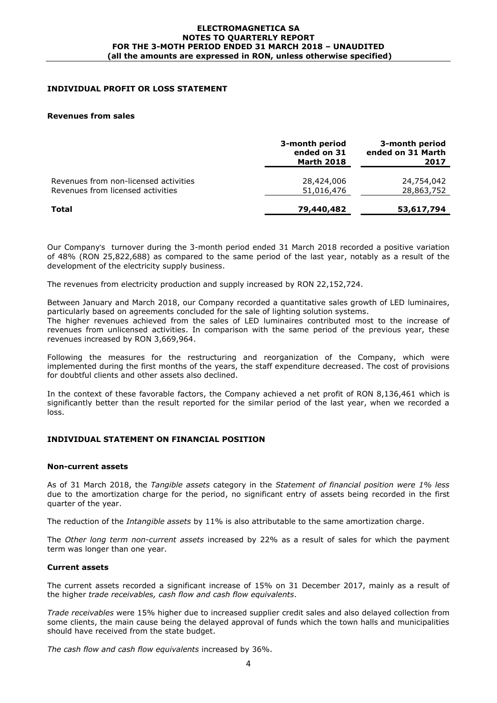#### **ELECTROMAGNETICA SA NOTES TO QUARTERLY REPORT FOR THE 3-MOTH PERIOD ENDED 31 MARCH 2018 – UNAUDITED (all the amounts are expressed in RON, unless otherwise specified)**

# **INDIVIDUAL PROFIT OR LOSS STATEMENT**

#### **Revenues from sales**

|                                                                            | 3-month period<br>ended on 31<br><b>Marth 2018</b> | 3-month period<br>ended on 31 Marth<br>2017 |
|----------------------------------------------------------------------------|----------------------------------------------------|---------------------------------------------|
| Revenues from non-licensed activities<br>Revenues from licensed activities | 28,424,006<br>51,016,476                           | 24,754,042<br>28,863,752                    |
| Total                                                                      | 79,440,482                                         | 53,617,794                                  |

Our Company's turnover during the 3-month period ended 31 March 2018 recorded a positive variation of 48% (RON 25,822,688) as compared to the same period of the last year, notably as a result of the development of the electricity supply business.

The revenues from electricity production and supply increased by RON 22,152,724.

Between January and March 2018, our Company recorded a quantitative sales growth of LED luminaires, particularly based on agreements concluded for the sale of lighting solution systems.

The higher revenues achieved from the sales of LED luminaires contributed most to the increase of revenues from unlicensed activities. In comparison with the same period of the previous year, these revenues increased by RON 3,669,964.

Following the measures for the restructuring and reorganization of the Company, which were implemented during the first months of the years, the staff expenditure decreased. The cost of provisions for doubtful clients and other assets also declined.

In the context of these favorable factors, the Company achieved a net profit of RON 8,136,461 which is significantly better than the result reported for the similar period of the last year, when we recorded a loss.

## **INDIVIDUAL STATEMENT ON FINANCIAL POSITION**

### **Non-current assets**

As of 31 March 2018, the *Tangible assets* category in the *Statement of financial position were 1% less*  due to the amortization charge for the period, no significant entry of assets being recorded in the first quarter of the year.

The reduction of the *Intangible assets* by 11% is also attributable to the same amortization charge.

The *Other long term non-current assets* increased by 22% as a result of sales for which the payment term was longer than one year.

### **Current assets**

The current assets recorded a significant increase of 15% on 31 December 2017, mainly as a result of the higher *trade receivables, cash flow and cash flow equivalents*.

*Trade receivables* were 15% higher due to increased supplier credit sales and also delayed collection from some clients, the main cause being the delayed approval of funds which the town halls and municipalities should have received from the state budget.

*The cash flow and cash flow equivalents* increased by 36%.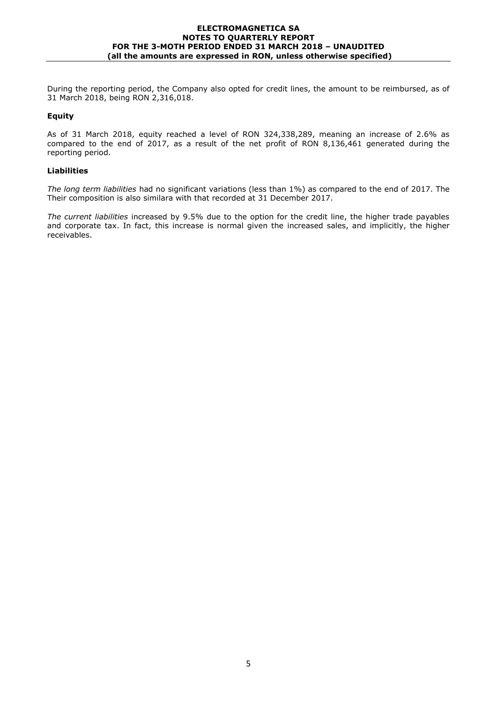#### **ELECTROMAGNETICA SA NOTES TO QUARTERLY REPORT FOR THE 3-MOTH PERIOD ENDED 31 MARCH 2018 – UNAUDITED (all the amounts are expressed in RON, unless otherwise specified)**

During the reporting period, the Company also opted for credit lines, the amount to be reimbursed, as of 31 March 2018, being RON 2,316,018.

# **Equity**

As of 31 March 2018, equity reached a level of RON 324,338,289, meaning an increase of 2.6% as compared to the end of 2017, as a result of the net profit of RON 8,136,461 generated during the reporting period.

## **Liabilities**

*The long term liabilities* had no significant variations (less than 1%) as compared to the end of 2017. The Their composition is also similara with that recorded at 31 December 2017.

*The current liabilities* increased by 9.5% due to the option for the credit line, the higher trade payables and corporate tax. In fact, this increase is normal given the increased sales, and implicitly, the higher receivables.